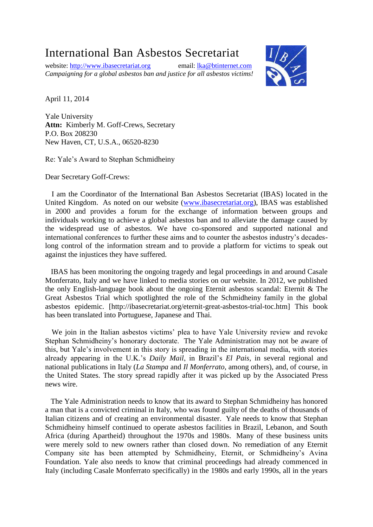## International Ban Asbestos Secretariat

website: [http://www.ibasecretariat.org](http://www.ibasecretariat.org/) email: [lka@btinternet.com](mailto:lka@btinternet.com) *Campaigning for a global asbestos ban and justice for all asbestos victims!*



April 11, 2014

Yale University **Attn:** Kimberly M. Goff-Crews, Secretary P.O. Box 208230 New Haven, CT, U.S.A., 06520-8230

Re: Yale's Award to Stephan Schmidheiny

Dear Secretary Goff-Crews:

 I am the Coordinator of the International Ban Asbestos Secretariat (IBAS) located in the United Kingdom. As noted on our website [\(www.ibasecretariat.org\)](http://www.ibasecretariat.org/), IBAS was established in 2000 and provides a forum for the exchange of information between groups and individuals working to achieve a global asbestos ban and to alleviate the damage caused by the widespread use of asbestos. We have co-sponsored and supported national and international conferences to further these aims and to counter the asbestos industry's decadeslong control of the information stream and to provide a platform for victims to speak out against the injustices they have suffered.

 IBAS has been monitoring the ongoing tragedy and legal proceedings in and around Casale Monferrato, Italy and we have linked to media stories on our website. In 2012, we published the only English-language book about the ongoing Eternit asbestos scandal: Eternit & The Great Asbestos Trial which spotlighted the role of the Schmidheiny family in the global asbestos epidemic. [http://ibasecretariat.org/eternit-great-asbestos-trial-toc.htm] This book has been translated into Portuguese, Japanese and Thai.

We join in the Italian asbestos victims' plea to have Yale University review and revoke Stephan Schmidheiny's honorary doctorate. The Yale Administration may not be aware of this, but Yale's involvement in this story is spreading in the international media, with stories already appearing in the U.K.'s *Daily Mail*, in Brazil's *El Pais*, in several regional and national publications in Italy (*La Stampa* and *Il Monferrato*, among others), and, of course, in the United States. The story spread rapidly after it was picked up by the Associated Press news wire.

 The Yale Administration needs to know that its award to Stephan Schmidheiny has honored a man that is a convicted criminal in Italy, who was found guilty of the deaths of thousands of Italian citizens and of creating an environmental disaster. Yale needs to know that Stephan Schmidheiny himself continued to operate asbestos facilities in Brazil, Lebanon, and South Africa (during Apartheid) throughout the 1970s and 1980s. Many of these business units were merely sold to new owners rather than closed down. No remediation of any Eternit Company site has been attempted by Schmidheiny, Eternit, or Schmidheiny's Avina Foundation. Yale also needs to know that criminal proceedings had already commenced in Italy (including Casale Monferrato specifically) in the 1980s and early 1990s, all in the years